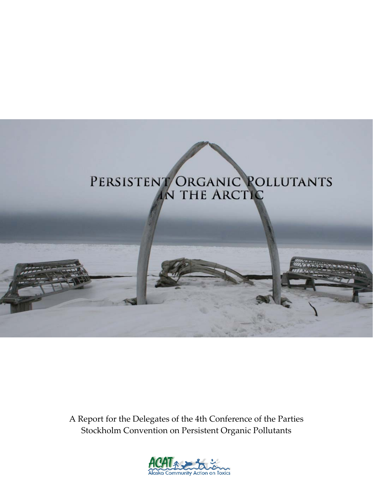# PERSISTENT ORGANIC POLLUTANTS

A Report for the Delegates of the 4th Conference of the Parties Stockholm Convention on Persistent Organic Pollutants

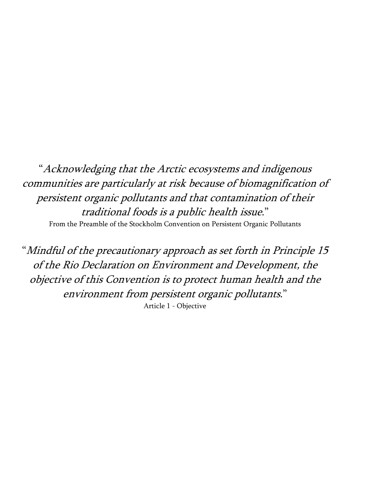"Acknowledging that the Arctic ecosystems and indigenous communities are particularly at risk because of biomagnification of persistent organic pollutants and that contamination of their traditional foods is a public health issue." From the Preamble of the Stockholm Convention on Persistent Organic Pollutants

"Mindful of the precautionary approach as set forth in Principle 15 of the Rio Declaration on Environment and Development, the objective of this Convention is to protect human health and the environment from persistent organic pollutants." Article 1 - Objective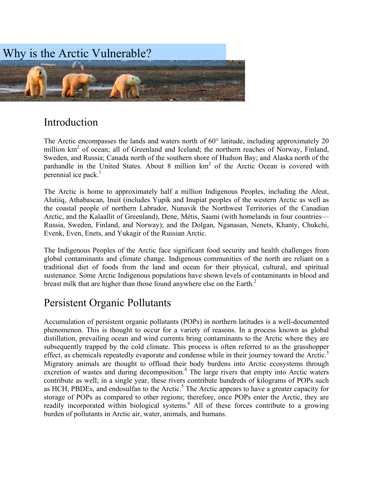

# Introduction

The Arctic encompasses the lands and waters north of 60° latitude, including approximately 20 million km<sup>2</sup> of ocean; all of Greenland and Iceland; the northern reaches of Norway, Finland, Sweden, and Russia; Canada north of the southern shore of Hudson Bay; and Alaska north of the panhandle in the United States. About 8 million  $km<sup>2</sup>$  of the Arctic Ocean is covered with perennial ice pack. $<sup>1</sup>$ </sup>

The Arctic is home to approximately half a million Indigenous Peoples, including the Aleut, Alutiiq, Athabascan, Inuit (includes Yupik and Inupiat peoples of the western Arctic as well as the coastal people of northern Labrador, Nunavik the Northwest Territories of the Canadian Arctic, and the Kalaallit of Greenland), Dene, Métis, Saami (with homelands in four countries— Russia, Sweden, Finland, and Norway); and the Dolgan, Nganasan, Nenets, Khanty, Chukchi, Evenk, Even, Enets, and Yukagir of the Russian Arctic.

The Indigenous Peoples of the Arctic face significant food security and health challenges from global contaminants and climate change. Indigenous communities of the north are reliant on a traditional diet of foods from the land and ocean for their physical, cultural, and spiritual sustenance. Some Arctic Indigenous populations have shown levels of contaminants in blood and breast milk that are higher than those found anywhere else on the Earth.<sup>2</sup>

# Persistent Organic Pollutants

Accumulation of persistent organic pollutants (POPs) in northern latitudes is a well-documented phenomenon. This is thought to occur for a variety of reasons. In a process known as global distillation, prevailing ocean and wind currents bring contaminants to the Arctic where they are subsequently trapped by the cold climate. This process is often referred to as the grasshopper effect, as chemicals repeatedly evaporate and condense while in their journey toward the Arctic.<sup>3</sup> Migratory animals are thought to offload their body burdens into Arctic ecosystems through excretion of wastes and during decomposition.<sup>4</sup> The large rivers that empty into Arctic waters contribute as well; in a single year, these rivers contribute hundreds of kilograms of POPs such as HCH, PBDEs, and endosulfan to the Arctic.<sup>5</sup> The Arctic appears to have a greater capacity for storage of POPs as compared to other regions; therefore, once POPs enter the Arctic, they are readily incorporated within biological systems.<sup>6</sup> All of these forces contribute to a growing burden of pollutants in Arctic air, water, animals, and humans.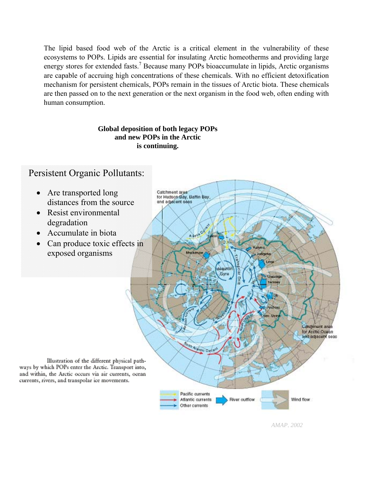The lipid based food web of the Arctic is a critical element in the vulnerability of these ecosystems to POPs. Lipids are essential for insulating Arctic homeotherms and providing large energy stores for extended fasts.<sup>7</sup> Because many POPs bioaccumulate in lipids, Arctic organisms are capable of accruing high concentrations of these chemicals. With no efficient detoxification mechanism for persistent chemicals, POPs remain in the tissues of Arctic biota. These chemicals are then passed on to the next generation or the next organism in the food web, often ending with human consumption.

#### **Global deposition of both legacy POPs and new POPs in the Arctic is continuing.**

# Persistent Organic Pollutants:

• Are transported long Catchment argar for Hudson Bay, Battin Bay, distances from the source and adjacent seas • Resist environmental degradation • Accumulate in biota  $A \rightarrow 0$ • Can produce toxic effects in exposed organisms Mackenzie desiro Gyre **Catchmont** are: for Arctic Ocean and adacent seas Antonio Cancer Illustration of the different physical pathways by which POPs enter the Arctic. Transport into, and within, the Arctic occurs via air currents, ocean currents, rivers, and transpolar ice movements. Pacific currents River outflow Wind flow Atlantic currents Other currents

*AMAP, 2002*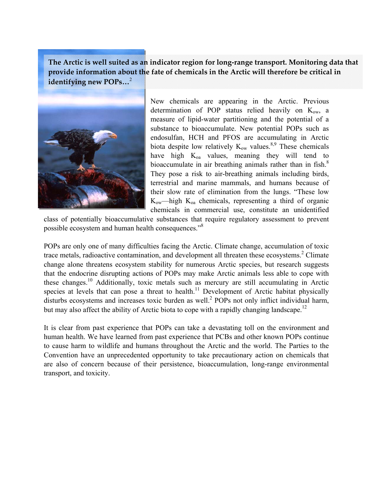**The Arctic is well suited as an indicator region for long‐range transport. Monitoring data that provide information about the fate of chemicals in the Arctic will therefore be critical in identifying new POPs…**<sup>2</sup>



New chemicals are appearing in the Arctic. Previous determination of POP status relied heavily on  $K_{ow}$ , a measure of lipid-water partitioning and the potential of a substance to bioaccumulate. New potential POPs such as endosulfan, HCH and PFOS are accumulating in Arctic biota despite low relatively  $K_{ow}$  values.<sup>8,9</sup> These chemicals have high  $K_{oa}$  values, meaning they will tend to bioaccumulate in air breathing animals rather than in fish. $8$ They pose a risk to air-breathing animals including birds, terrestrial and marine mammals, and humans because of their slow rate of elimination from the lungs. "These low  $K_{ow}$ —high  $K_{oa}$  chemicals, representing a third of organic chemicals in commercial use, constitute an unidentified

class of potentially bioaccumulative substances that require regulatory assessment to prevent possible ecosystem and human health consequences."<sup>8</sup>

POPs are only one of many difficulties facing the Arctic. Climate change, accumulation of toxic trace metals, radioactive contamination, and development all threaten these ecosystems.<sup>2</sup> Climate change alone threatens ecosystem stability for numerous Arctic species, but research suggests that the endocrine disrupting actions of POPs may make Arctic animals less able to cope with these changes.10 Additionally, toxic metals such as mercury are still accumulating in Arctic species at levels that can pose a threat to health.<sup>11</sup> Development of Arctic habitat physically disturbs ecosystems and increases toxic burden as well.<sup>2</sup> POPs not only inflict individual harm, but may also affect the ability of Arctic biota to cope with a rapidly changing landscape.<sup>12</sup>

It is clear from past experience that POPs can take a devastating toll on the environment and human health. We have learned from past experience that PCBs and other known POPs continue to cause harm to wildlife and humans throughout the Arctic and the world. The Parties to the Convention have an unprecedented opportunity to take precautionary action on chemicals that are also of concern because of their persistence, bioaccumulation, long-range environmental transport, and toxicity.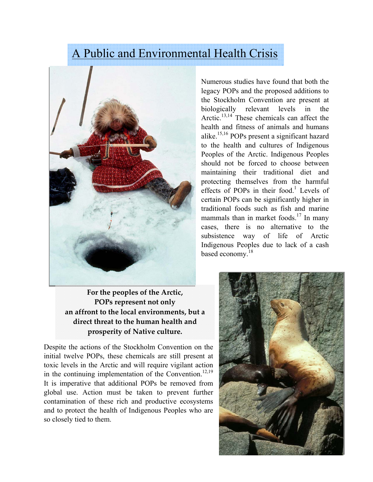# A Public and Environmental Health Crisis



**For the peoples of the Arctic, POPs represent not only an affront to the local environments, but a direct threat to the human health and prosperity of Native culture.**

Despite the actions of the Stockholm Convention on the initial twelve POPs, these chemicals are still present at toxic levels in the Arctic and will require vigilant action in the continuing implementation of the Convention.<sup>12,19</sup> It is imperative that additional POPs be removed from global use. Action must be taken to prevent further contamination of these rich and productive ecosystems and to protect the health of Indigenous Peoples who are so closely tied to them.

Numerous studies have found that both the legacy POPs and the proposed additions to the Stockholm Convention are present at biologically relevant levels in the Arctic.<sup>13,14</sup> These chemicals can affect the health and fitness of animals and humans alike.15,16 POPs present a significant hazard to the health and cultures of Indigenous Peoples of the Arctic. Indigenous Peoples should not be forced to choose between maintaining their traditional diet and protecting themselves from the harmful effects of POPs in their food.<sup>1</sup> Levels of certain POPs can be significantly higher in traditional foods such as fish and marine mammals than in market foods.<sup>17</sup> In many cases, there is no alternative to the subsistence way of life of Arctic Indigenous Peoples due to lack of a cash based economy.<sup>18</sup>

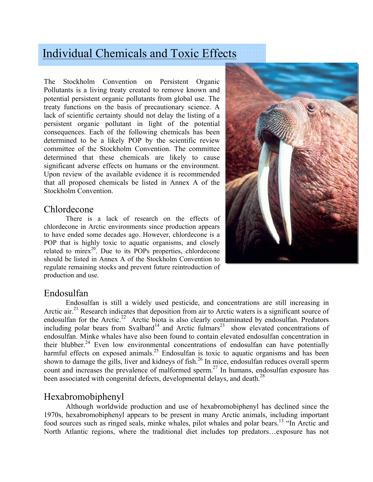# Individual Chemicals and Toxic Effects

The Stockholm Convention on Persistent Organic Pollutants is a living treaty created to remove known and potential persistent organic pollutants from global use. The treaty functions on the basis of precautionary science. A lack of scientific certainty should not delay the listing of a persistent organic pollutant in light of the potential consequences. Each of the following chemicals has been determined to be a likely POP by the scientific review committee of the Stockholm Convention. The committee determined that these chemicals are likely to cause significant adverse effects on humans or the environment. Upon review of the available evidence it is recommended that all proposed chemicals be listed in Annex A of the Stockholm Convention.

## Chlordecone

There is a lack of research on the effects of chlordecone in Arctic environments since production appears to have ended some decades ago. However, chlordecone is a POP that is highly toxic to aquatic organisms, and closely related to mirex<sup>20</sup>. Due to its POPs properties, chlordecone should be listed in Annex A of the Stockholm Convention to regulate remaining stocks and prevent future reintroduction of production and use.



## Endosulfan

Endosulfan is still a widely used pesticide, and concentrations are still increasing in Arctic air.<sup>21</sup> Research indicates that deposition from air to Arctic waters is a significant source of endosulfan for the Arctic.<sup>22</sup> Arctic biota is also clearly contaminated by endosulfan. Predators including polar bears from Svalbard<sup>14</sup> and Arctic fulmars<sup>23</sup> show elevated concentrations of endosulfan. Minke whales have also been found to contain elevated endosulfan concentration in their blubber.<sup>24</sup> Even low environmental concentrations of endosulfan can have potentially harmful effects on exposed animals.<sup>25</sup> Endosulfan is toxic to aquatic organisms and has been shown to damage the gills, liver and kidneys of fish.<sup>26</sup> In mice, endosulfan reduces overall sperm count and increases the prevalence of malformed sperm.<sup>27</sup> In humans, endosulfan exposure has been associated with congenital defects, developmental delays, and death.<sup>28</sup>

# Hexabromobiphenyl

Although worldwide production and use of hexabromobiphenyl has declined since the 1970s, hexabromobiphenyl appears to be present in many Arctic animals, including important food sources such as ringed seals, minke whales, pilot whales and polar bears.<sup>13</sup> "In Arctic and North Atlantic regions, where the traditional diet includes top predators…exposure has not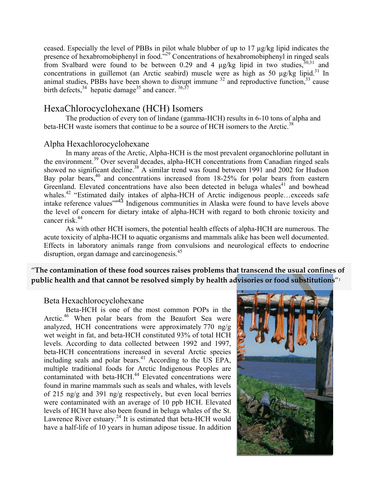ceased. Especially the level of PBBs in pilot whale blubber of up to 17 µg/kg lipid indicates the presence of hexabromobiphenyl in food."<sup>29</sup> Concentrations of hexabromobiphenyl in ringed seals from Svalbard were found to be between 0.29 and 4  $\mu$ g/kg lipid in two studies,  $30,31$  and concentrations in guillemot (an Arctic seabird) muscle were as high as 50  $\mu$ g/kg lipid.<sup>31</sup> In animal studies, PBBs have been shown to disrupt immune  $32$  and reproductive function,  $33$  cause birth defects,  $34$  hepatic damage<sup>35</sup> and cancer.  $36,37$ 

## HexaChlorocyclohexane (HCH) Isomers

The production of every ton of lindane (gamma-HCH) results in 6-10 tons of alpha and beta-HCH waste isomers that continue to be a source of HCH isomers to the Arctic.<sup>38</sup>

#### Alpha Hexachlorocyclohexane

In many areas of the Arctic, Alpha-HCH is the most prevalent organochlorine pollutant in the environment.<sup>39</sup> Over several decades, alpha-HCH concentrations from Canadian ringed seals showed no significant decline.<sup>38</sup> A similar trend was found between 1991 and 2002 for Hudson Bay polar bears,<sup>40</sup> and concentrations increased from 18-25% for polar bears from eastern Greenland. Elevated concentrations have also been detected in beluga whales<sup>41</sup> and bowhead whales.<sup>42</sup> "Estimated daily intakes of alpha-HCH of Arctic indigenous people...exceeds safe intake reference values"<sup>43</sup> Indigenous communities in Alaska were found to have levels above the level of concern for dietary intake of alpha-HCH with regard to both chronic toxicity and cancer risk. $44$ 

As with other HCH isomers, the potential health effects of alpha-HCH are numerous. The acute toxicity of alpha-HCH to aquatic organisms and mammals alike has been well documented. Effects in laboratory animals range from convulsions and neurological effects to endocrine disruption, organ damage and carcinogenesis.<sup>45</sup>

"**The contamination of these food sources raises problems that transcend the usual confines of public** health and that cannot be resolved simply by health advisories or food substitutions"<sup>1</sup>

#### Beta Hexachlorocyclohexane

Beta-HCH is one of the most common POPs in the Arctic.<sup>46</sup> When polar bears from the Beaufort Sea were analyzed, HCH concentrations were approximately 770 ng/g wet weight in fat, and beta-HCH constituted 93% of total HCH levels. According to data collected between 1992 and 1997, beta-HCH concentrations increased in several Arctic species including seals and polar bears. $41$  According to the US EPA, multiple traditional foods for Arctic Indigenous Peoples are contaminated with beta-HCH.<sup>44</sup> Elevated concentrations were found in marine mammals such as seals and whales, with levels of 215 ng/g and 391 ng/g respectively, but even local berries were contaminated with an average of 10 ppb HCH. Elevated levels of HCH have also been found in beluga whales of the St. Lawrence River estuary.<sup>24</sup> It is estimated that beta-HCH would have a half-life of 10 years in human adipose tissue. In addition

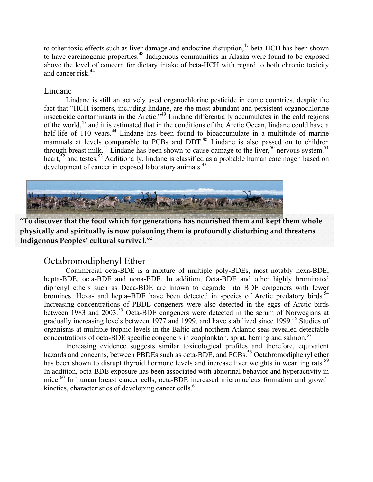to other toxic effects such as liver damage and endocrine disruption,<sup>47</sup> beta-HCH has been shown to have carcinogenic properties.48 Indigenous communities in Alaska were found to be exposed above the level of concern for dietary intake of beta-HCH with regard to both chronic toxicity and cancer risk.<sup>44</sup>

#### Lindane

Lindane is still an actively used organochlorine pesticide in come countries, despite the fact that "HCH isomers, including lindane, are the most abundant and persistent organochlorine insecticide contaminants in the Arctic."49 Lindane differentially accumulates in the cold regions of the world,47 and it is estimated that in the conditions of the Arctic Ocean, lindane could have a half-life of 110 years.<sup>44</sup> Lindane has been found to bioaccumulate in a multitude of marine mammals at levels comparable to PCBs and DDT.<sup>45</sup> Lindane is also passed on to children through breast milk.<sup>41</sup> Lindane has been shown to cause damage to the liver,<sup>50</sup> nervous system,<sup>51</sup> heart, $5^2$  and testes.<sup>53</sup> Additionally, lindane is classified as a probable human carcinogen based on development of cancer in exposed laboratory animals.<sup>45</sup>



**"To discover that the food which for generations has nourished them and kept them whole physically and spiritually is now poisoning them is profoundly disturbing and threatens Indigenous Peoples' cultural survival."**<sup>2</sup>

## Octabromodiphenyl Ether

Commercial octa-BDE is a mixture of multiple poly-BDEs, most notably hexa-BDE, hepta-BDE, octa-BDE and nona-BDE. In addition, Octa-BDE and other highly brominated diphenyl ethers such as Deca-BDE are known to degrade into BDE congeners with fewer bromines. Hexa- and hepta–BDE have been detected in species of Arctic predatory birds.<sup>54</sup> Increasing concentrations of PBDE congeners were also detected in the eggs of Arctic birds between 1983 and 2003.<sup>55</sup> Octa-BDE congeners were detected in the serum of Norwegians at gradually increasing levels between 1977 and 1999, and have stabilized since 1999.<sup>56</sup> Studies of organisms at multiple trophic levels in the Baltic and northern Atlantic seas revealed detectable concentrations of octa-BDE specific congeners in zooplankton, sprat, herring and salmon.<sup>57</sup>

Increasing evidence suggests similar toxicological profiles and therefore, equivalent hazards and concerns, between PBDEs such as octa-BDE, and PCBs.<sup>58</sup> Octabromodiphenyl ether has been shown to disrupt thyroid hormone levels and increase liver weights in weanling rats.<sup>59</sup> In addition, octa-BDE exposure has been associated with abnormal behavior and hyperactivity in mice.<sup>60</sup> In human breast cancer cells, octa-BDE increased micronucleus formation and growth kinetics, characteristics of developing cancer cells. $<sup>61</sup>$ </sup>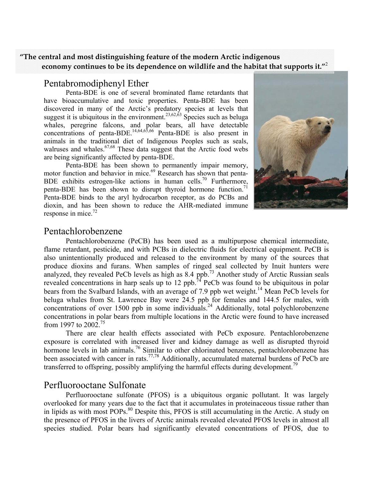#### **"The central and most distinguishing feature of the modern Arctic indigenous economy continues to be its dependence on wildlife and the habitat that supports it."**<sup>2</sup>

## Pentabromodiphenyl Ether

Penta-BDE is one of several brominated flame retardants that have bioaccumulative and toxic properties. Penta-BDE has been discovered in many of the Arctic's predatory species at levels that suggest it is ubiquitous in the environment.<sup>23,62,63</sup> Species such as beluga whales, peregrine falcons, and polar bears, all have detectable concentrations of penta-BDE.<sup>14,64,65,66</sup> Penta-BDE is also present in animals in the traditional diet of Indigenous Peoples such as seals, walruses and whales. $67,68$  These data suggest that the Arctic food webs are being significantly affected by penta-BDE.

Penta-BDE has been shown to permanently impair memory, motor function and behavior in mice.<sup>69</sup> Research has shown that penta-BDE exhibits estrogen-like actions in human cells.<sup>70</sup> Furthermore, penta-BDE has been shown to disrupt thyroid hormone function.<sup>71</sup> Penta-BDE binds to the aryl hydrocarbon receptor, as do PCBs and dioxin, and has been shown to reduce the AHR-mediated immune response in mice. $72$ 



#### Pentachlorobenzene

Pentachlorobenzene (PeCB) has been used as a multipurpose chemical intermediate, flame retardant, pesticide, and with PCBs in dielectric fluids for electrical equipment. PeCB is also unintentionally produced and released to the environment by many of the sources that produce dioxins and furans. When samples of ringed seal collected by Inuit hunters were analyzed, they revealed PeCb levels as high as  $8.4$  ppb.<sup>73</sup> Another study of Arctic Russian seals revealed concentrations in harp seals up to 12 ppb.<sup>74</sup> PeCb was found to be ubiquitous in polar bears from the Svalbard Islands, with an average of 7.9 ppb wet weight.<sup>14</sup> Mean PeCb levels for beluga whales from St. Lawrence Bay were 24.5 ppb for females and 144.5 for males, with concentrations of over 1500 ppb in some individuals.<sup>24</sup> Additionally, total polychlorobenzene concentrations in polar bears from multiple locations in the Arctic were found to have increased from 1997 to 2002.75

There are clear health effects associated with PeCb exposure. Pentachlorobenzene exposure is correlated with increased liver and kidney damage as well as disrupted thyroid hormone levels in lab animals.<sup>76</sup> Similar to other chlorinated benzenes, pentachlorobenzene has been associated with cancer in rats.<sup>77,78</sup> Additionally, accumulated maternal burdens of PeCb are transferred to offspring, possibly amplifying the harmful effects during development.<sup>79</sup>

#### Perfluorooctane Sulfonate

Perfluorooctane sulfonate (PFOS) is a ubiquitous organic pollutant. It was largely overlooked for many years due to the fact that it accumulates in proteinaceous tissue rather than in lipids as with most POPs.<sup>80</sup> Despite this, PFOS is still accumulating in the Arctic. A study on the presence of PFOS in the livers of Arctic animals revealed elevated PFOS levels in almost all species studied. Polar bears had significantly elevated concentrations of PFOS, due to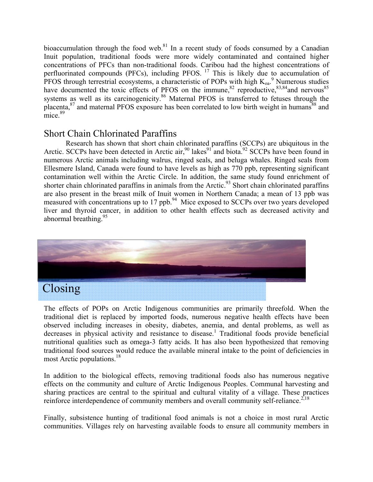bioaccumulation through the food web. $81$  In a recent study of foods consumed by a Canadian Inuit population, traditional foods were more widely contaminated and contained higher concentrations of PFCs than non-traditional foods. Caribou had the highest concentrations of perfluorinated compounds (PFCs), including PFOS.  $^{17}$  This is likely due to accumulation of PFOS through terrestrial ecosystems, a characteristic of POPs with high  $K_{oa}$ <sup>9</sup> Numerous studies have documented the toxic effects of PFOS on the immune, $82$  reproductive, $83,84$  and nervous  $85$ systems as well as its carcinogenicity.<sup>86</sup> Maternal PFOS is transferred to fetuses through the placenta,<sup>87</sup> and maternal PFOS exposure has been correlated to low birth weight in humans<sup>88</sup> and  $mice$ <sup>89</sup>

# Short Chain Chlorinated Paraffins

Research has shown that short chain chlorinated paraffins (SCCPs) are ubiquitous in the Arctic. SCCPs have been detected in Arctic air,  $90$  lakes $91'$  and biota.  $92$  SCCPs have been found in numerous Arctic animals including walrus, ringed seals, and beluga whales. Ringed seals from Ellesmere Island, Canada were found to have levels as high as 770 ppb, representing significant contamination well within the Arctic Circle. In addition, the same study found enrichment of shorter chain chlorinated paraffins in animals from the Arctic.<sup>93</sup> Short chain chlorinated paraffins are also present in the breast milk of Inuit women in Northern Canada; a mean of 13 ppb was measured with concentrations up to  $17$  ppb.<sup>94</sup> Mice exposed to SCCPs over two years developed liver and thyroid cancer, in addition to other health effects such as decreased activity and abnormal breathing.  $95$ 



The effects of POPs on Arctic Indigenous communities are primarily threefold. When the traditional diet is replaced by imported foods, numerous negative health effects have been observed including increases in obesity, diabetes, anemia, and dental problems, as well as decreases in physical activity and resistance to disease.<sup>1</sup> Traditional foods provide beneficial nutritional qualities such as omega-3 fatty acids. It has also been hypothesized that removing traditional food sources would reduce the available mineral intake to the point of deficiencies in most Arctic populations.<sup>18</sup>

In addition to the biological effects, removing traditional foods also has numerous negative effects on the community and culture of Arctic Indigenous Peoples. Communal harvesting and sharing practices are central to the spiritual and cultural vitality of a village. These practices reinforce interdependence of community members and overall community self-reliance.<sup>2,18</sup>

Finally, subsistence hunting of traditional food animals is not a choice in most rural Arctic communities. Villages rely on harvesting available foods to ensure all community members in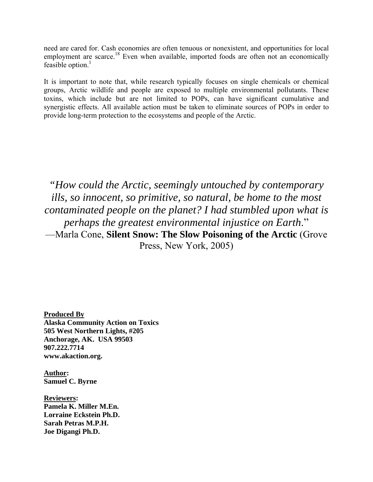need are cared for. Cash economies are often tenuous or nonexistent, and opportunities for local employment are scarce.<sup>18</sup> Even when available, imported foods are often not an economically feasible option. $<sup>1</sup>$ </sup>

It is important to note that, while research typically focuses on single chemicals or chemical groups, Arctic wildlife and people are exposed to multiple environmental pollutants. These toxins, which include but are not limited to POPs, can have significant cumulative and synergistic effects. All available action must be taken to eliminate sources of POPs in order to provide long-term protection to the ecosystems and people of the Arctic.

*"How could the Arctic, seemingly untouched by contemporary ills, so innocent, so primitive, so natural, be home to the most contaminated people on the planet? I had stumbled upon what is perhaps the greatest environmental injustice on Earth*." —Marla Cone, **Silent Snow: The Slow Poisoning of the Arctic** (Grove Press, New York, 2005)

**Produced By Alaska Community Action on Toxics 505 West Northern Lights, #205 Anchorage, AK. USA 99503 907.222.7714 www.akaction.org.** 

**Author: Samuel C. Byrne** 

**Reviewers: Pamela K. Miller M.En. Lorraine Eckstein Ph.D. Sarah Petras M.P.H. Joe Digangi Ph.D.**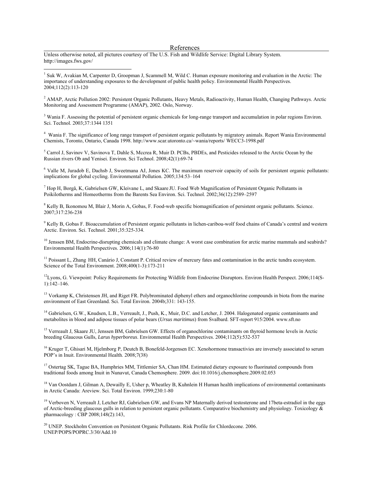#### References

Unless otherwise noted, all pictures courtesy of The U.S. Fish and Wildlife Service: Digital Library System. http://images.fws.gov/

 $\overline{a}$ 

<sup>1</sup> Suk W, Avakian M, Carpenter D, Groopman J, Scammell M, Wild C. Human exposure monitoring and evaluation in the Arctic: The importance of understanding exposures to the development of public health policy. Environmental Health Perspectives. 2004;112(2):113-120

<sup>2</sup> AMAP, Arctic Pollution 2002: Persistent Organic Pollutants, Heavy Metals, Radioactivity, Human Health, Changing Pathways. Arctic Monitoring and Assessment Programme (AMAP), 2002. Oslo, Norway.

<sup>3</sup> Wania F. Assessing the potential of persistent organic chemicals for long-range transport and accumulation in polar regions Environ. Sci. Technol. 2003;37:1344 1351

4 Wania F. The significance of long range transport of persistent organic pollutants by migratory animals. Report Wania Environmental Chemists, Toronto, Ontario, Canada 1998. http://www.scar.utoronto.ca/~wania/reports/ WECC3-1998.pdf

<sup>5</sup> Carrol J, Savinov V, Savinova T, Dahle S, Mccrea R, Muir D. PCBs, PBDEs, and Pesticides released to the Arctic Ocean by the Russian rivers Ob and Yenisei. Environ. Sci Technol. 2008;42(1):69-74

<sup>6</sup> Valle M, Juradob E, Dachsb J, Sweetmana AJ, Jones KC. The maximum reservoir capacity of soils for persistent organic pollutants: implications for global cycling. Environmental Pollution. 2005;134:53–164

7 Hop H, Borgå, K, Gabrielsen GW, Kleivane L, and Skaare JU. Food Web Magnification of Persistent Organic Pollutants in Poikilotherms and Homeotherms from the Barents Sea Environ. Sci. Technol. 2002;36(12):2589–2597

<sup>8</sup> Kelly B, Ikonomou M, Blair J, Morin A, Gobas, F. Food-web specific biomagnification of persistent organic pollutants. Science. 2007;317:236-238

<sup>9</sup> Kelly B, Gobas F. Bioaccumulation of Persistent organic pollutants in lichen-caribou-wolf food chains of Canada's central and western Arctic. Environ. Sci. Technol. 2001;35:325-334.

 $10$  Jenssen BM, Endocrine-disrupting chemicals and climate change: A worst case combination for arctic marine mammals and seabirds? Environmental Health Perspectives. 2006;114(1):76-80

<sup>11</sup> Poissant L, Zhang HH, Canário J, Constant P. Critical review of mercury fates and contamination in the arctic tundra ecosystem. Science of the Total Environment. 2008;400(1-3):173-211

<sup>12</sup>Lyons, G. Viewpoint: Policy Requirements for Protecting Wildlife from Endocrine Disruptors. Environ Health Perspect. 2006;114(S-1):142–146.

<sup>13</sup> Vorkamp K, Christensen JH, and Riget FR. Polybrominated diphenyl ethers and organochlorine compounds in biota from the marine environment of East Greenland. Sci. Total Environ. 2004b;331: 143-155.

<sup>14</sup> Gabrielsen, G.W., Knudsen, L.B., Verreault, J., Push, K., Muir, D.C. and Letcher, J. 2004. Halogenated organic contaminants and metabolites in blood and adipose tissues of polar bears (*Ursus maritimus*) from Svalbard. SFT-report 915/2004. www.sft.no

<sup>15</sup> Verreault J, Skaare JU, Jenssen BM, Gabrielsen GW. Effects of organochlorine contaminants on thyroid hormone levels in Arctic breeding Glaucous Gulls, *Larus hyperboreus*. Environmental Health Perspectives. 2004;112(5):532-537

<sup>16</sup> Kruger T, Ghisari M, Hjelmborg P, Deutch B, Bonefeld-Jorgensen EC. Xenohormone transactivies are inversely associated to serum POP's in Inuit. Environmental Health. 2008;7(38)

<sup>17</sup> Ostertag SK, Tague BA, Humphries MM, Tittlemier SA, Chan HM. Estimated dietary exposure to fluorinated compounds from traditional foods among Inuit in Nunavut, Canada Chemosphere. 2009. doi:10.1016/j.chemosphere.2009.02.053

<sup>18</sup> Van Oostdam J, Gilman A, Dewailly E, Usher p, Wheatley B, Kuhnlein H Human health implications of environmental contaminants in Arctic Canada: Areview. Sci. Total Environ. 1999;230:1-80

<sup>19</sup> Verboven N, Verreault J, Letcher RJ, Gabrielsen GW, and Evans NP Maternally derived testosterone and 17beta-estradiol in the eggs of Arctic-breeding glaucous gulls in relation to persistent organic pollutants. Comparative biochemistry and physiology. Toxicology & pharmacology : CBP 2008;148(2):143,

<sup>20</sup> UNEP. Stockholm Convention on Persistent Organic Pollutants. Risk Profile for Chlordecone. 2006. UNEP/POPS/POPRC.3/30/Add.10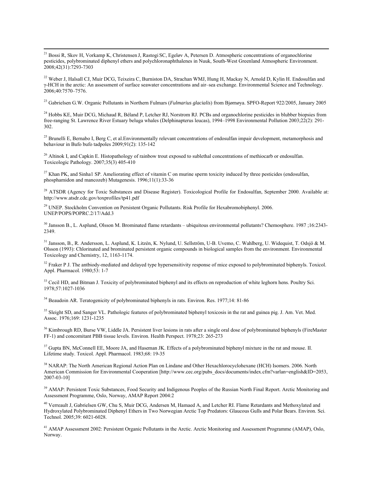<sup>21</sup> Bossi R, Skov H, Vorkamp K, Christensen J, Rastogi SC, Egeløv A, Petersen D. Atmospheric concentrations of organochlorine pesticides, polybrominated diphenyl ethers and polychloronaphthalenes in Nuuk, South-West Greenland Atmospheric Environment. 2008;42(31):7293-7303

<sup>22</sup> Weber J, Halsall CJ, Muir DCG, Teixeira C, Burniston DA, Strachan WMJ, Hung H, Mackay N, Arnold D, Kylin H. Endosulfan and γ-HCH in the arctic: An assessment of surface seawater concentrations and air–sea exchange. Environmental Science and Technology. 2006;40:7570–7576.

23 Gabrielsen G.W. Organic Pollutants in Northern Fulmars (*Fulmarius glacialis*) from Bjørnøya. SPFO-Report 922/2005, January 2005

<sup>24</sup> Hobbs KE, Muir DCG, Michaud R, Béland P, Letcher RJ, Norstrom RJ. PCBs and organochlorine pesticides in blubber biopsies from free-ranging St. Lawrence River Estuary beluga whales (Delphinapterus leucas), 1994–1998 Environmental Pollution 2003;22(2): 291- 302.

 $^{25}$  Brunelli E, Bernabo I, Berg C, et al. Environmentally relevant concentrations of endosulfan impair development, metamorphosis and behaviour in Bufo bufo tadpoles 2009;91(2): 135-142

<sup>26</sup> Altinok I, and Capkin E. Histopathology of rainbow trout exposed to sublethal concentrations of methiocarb or endosulfan. Toxicologic Pathology. 2007;35(3) 405-410

<sup>27</sup> Khan PK, and Sinha1 SP. Ameliorating effect of vitamin C on murine sperm toxicity induced by three pesticides (endosulfan, phosphamidon and mancozeb) Mutagenesis. 1996;11(1):33-36

<sup>28</sup> ATSDR (Agency for Toxic Substances and Disease Register). Toxicological Profile for Endosulfan, September 2000. Available at: http://www.atsdr.cdc.gov/toxprofiles/tp41.pdf

29 UNEP. Stockholm Convention on Persistent Organic Pollutants. Risk Profile for Hexabromobiphenyl. 2006. UNEP/POPS/POPRC.2/17/Add.3

<sup>30</sup> Jansson B., L. Asplund, Olsson M. Brominated flame retardants – ubiquitous environmental pollutants? Chemosphere. 1987 ;16:2343-2349.

31 Jansson, B., R. Andersson, L. Asplund, K. Litzén, K. Nylund, U. Sellström, U-B. Uvemo, C. Wahlberg, U. Widequist, T. Odsjö & M. Olsson (1993): Chlorinated and brominated persistent organic compounds in biological samples from the environment. Environmental Toxicology and Chemistry, 12, 1163-1174.

 $32$  Fraker P J. The antbiody-mediated and delayed type hypersensitivity response of mice exposed to polybrominated biphenyls. Toxicol. Appl. Pharmacol. 1980;53: 1-7

<sup>33</sup> Cecil HD, and Bitman J. Toxicity of polybrominated biphenyl and its effects on reproduction of white leghorn hens. Poultry Sci. 1978;57:1027-1036

<sup>34</sup> Beaudoin AR. Teratogenicity of polybrominated biphenyls in rats. Environ. Res. 1977;14: 81-86

<sup>35</sup> Sleight SD, and Sanger VL. Pathologic features of polybrominated biphenyl toxicosis in the rat and guinea pig. J. Am. Vet. Med. Assoc. 1976;169: 1231-1235

<sup>36</sup> Kimbrough RD, Burse VW, Liddle JA. Persistent liver lesions in rats after a single oral dose of polybrominated biphenyls (FireMaster FF-1) and concomitant PBB tissue levels. Environ. Health Perspect. 1978;23: 265-273

<sup>37</sup> Gupta BN, McConnell EE, Moore JA, and Haseman JK. Effects of a polybrominated biphenyl mixture in the rat and mouse. II. Lifetime study. Toxicol. Appl. Pharmacol. 1983;68: 19-35

<sup>38</sup> NARAP: The North American Regional Action Plan on Lindane and Other Hexachlorocyclohexane (HCH) Isomers. 2006. North American Commission for Environmental Cooperation [http://www.cec.org/pubs\_docs/documents/index.cfm?varlan=english&ID=2053, 2007-03-10]

<sup>39</sup> AMAP: Persistent Toxic Substances, Food Security and Indigenous Peoples of the Russian North Final Report. Arctic Monitoring and Assessment Programme, Oslo, Norway, AMAP Report 2004:2

40 Verreault J, Gabrielsen GW, Chu S, Muir DCG, Andersen M, Hamaed A, and Letcher RI. Flame Retardants and Methoxylated and Hydroxylated Polybrominated Diphenyl Ethers in Two Norwegian Arctic Top Predators: Glaucous Gulls and Polar Bears. Environ. Sci. Technol. 2005;39: 6021-6028.

<sup>41</sup> AMAP Assessment 2002: Persistent Organic Pollutants in the Arctic. Arctic Monitoring and Assessment Programme (AMAP), Oslo, Norway.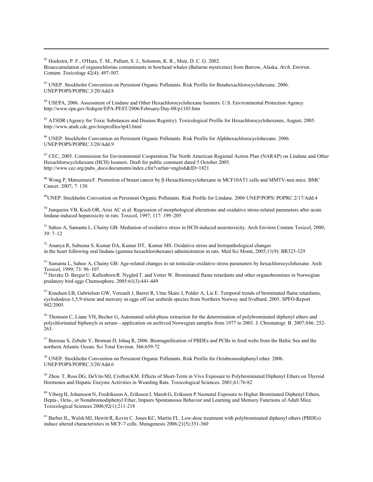42 Hoekstra, P. F., O'Hara, T. M., Pallant, S. J., Solomon, K. R., Muir, D. C. G. 2002. Bioaccumulation of organochlorine contaminants in bowhead whales (*Balaena mysticetus*) from Barrow, Alaska. *Arch. Environ. Contam. Toxicology* 42(4): 497-507.

<sup>43</sup> UNEP. Stockholm Convention on Persistent Organic Pollutants. Risk Profile for Betahexachlorocyclohexane. 2006. UNEP/POPS/POPRC.3/20/Add.8

 $\overline{a}$ 

44 USEPA, 2006. Assessment of Lindane and Other Hexachlorocyclohexane Isomers. U.S. Environmental Protection Agency. http://www.epa.gov/fedrgstr/EPA-PEST/2006/February/Day-08/p1103.htm

<sup>45</sup> ATSDR (Agency for Toxic Substances and Disease Registry). Toxicological Profile for Hexachlorocyclohexanes, August, 2005. http://www.atsdr.cdc.gov/toxprofiles/tp43.html

46 UNEP. Stockholm Convention on Persistent Organic Pollutants. Risk Profile for Alphhexachlorocyclohexane. 2006. UNEP/POPS/POPRC.3/20/Add.9

<sup>47</sup> CEC, 2005. Commission for Environmental Cooperation. The North American Regional Action Plan (NARAP) on Lindane and Other Hexachlorocyclohexane (HCH) Isomers. Draft for public comment dated 5 October 2005. http://www.cec.org/pubs\_docs/documents/index.cfm?varlan=english&ID=1821

48 Wong P, Matsumura F. Promotion of breast cancer by β-Hexachlorocyclohexane in MCF10AT1 cells and MMTV-neu mice. BMC Cancer. 2007; 7: 130.

49UNEP. Stockholm Convention on Persistent Organic Pollutants. Risk Profile for Lindane. 2006 UNEP/POPS/ POPRC.2/17/Add.4

 $50$  Junqueira VB, Koch OR, Arisi AC et al: Regression of morphological alterations and oxidative stress-related parameters after acute lindane-induced hepatoxicity in rats. Toxicol, 1997; 117: 199–205

<sup>51</sup> Sahoo A, Samanta L, Chainy GB: Mediation of oxidative stress in HCH-induced neurotoxicity. Arch Environ Contam Toxicol, 2000; 39: 7–12

52 Ananya R, Subeena S, Kumar DA, Kumar DT, Kumar MS. Oxidative stress and histopathological changes in the heart following oral lindane (gamma hexachlorohexane) administration in rats. Med Sci Monit, 2005;11(9): BR325-329

53 Samanta L, Sahoo A, Chainy GB: Age-related changes in rat testicular oxidative stress parameters by hexachlorocyclohexane. Arch Toxicol, 1999; 73: 96–107

<sup>54</sup> Herzke D. Berger U. Kallenborn R. Nygård T. and Vetter W. Brominated flame retardants and other organobromines in Norwegian predatory bird eggs Chemosphere. 2005:61(3):441-449

55 Knudsen LB, Gabrielsen GW, Vereault J, Barret R, Utne Skare J, Polder A, Lie E. Temporal trends of brominated flame retardants, cyclododeca-1,5,9-triene and mercury in eggs off our seabirds species from Northern Norway and Svalbard. 2005. SPFO-Report 942/2005.

<sup>56</sup> Thomsen C, Liane VH, Becher G, Automated solid-phase extraction for the determination of polybrominated diphenyl ethers and polychlorinated biphenyls in serum—application on archived Norwegian samples from 1977 to 2003. J. Chromatogr. B. 2007;846: 252- 263.

<sup>57</sup> Burreau S, Zebuhr Y, Broman D, Ishaq R, 2006. Biomagnification of PBDEs and PCBs in food webs from the Baltic Sea and the northern Atlantic Ocean. Sci Total Environ. 366:659-72

58 UNEP. Stockholm Convention on Persistent Organic Pollutants. Risk Profile for Octabromodiphenyl ether. 2006. UNEP/POPS/POPRC.3/20/Add.6

59 Zhou T, Ross DG, DeVito MJ, Crofton KM. Effects of Short-Term in Vivo Exposure to Polybrominated Diphenyl Ethers on Thyroid Hormones and Hepatic Enzyme Activities in Weanling Rats. Toxicological Sciences. 2001;61:76-82

60 Viberg H, Johansson N, Fredriksson A, Eriksson J, Marsh G, Eriksson P.Neonatal Exposure to Higher Brominated Diphenyl Ethers, Hepta-, Octa-, or Nonabromodiphenyl Ether, Impairs Spontaneous Behavior and Learning and Memory Functions of Adult Mice. Toxicological Sciences 2006;92(1):211-218

<sup>61</sup> Barber JL, Walsh MJ, Hewitt R, Kevin C. Jones KC, Martin FL. Low-dose treatment with polybrominated diphenyl ethers (PBDEs) induce altered characteristics in MCF-7 cells. Mutagenesis 2006;21(5):351-360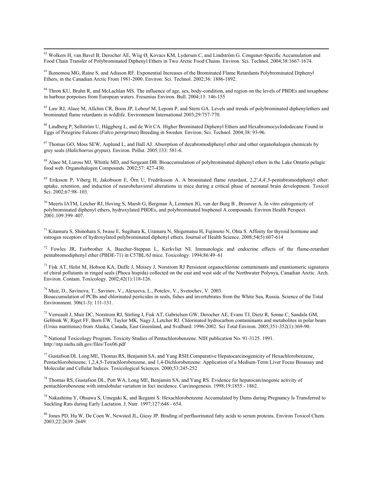62 Wolkers H, van Bavel B, Derocher AE, Wiig Ø, Kovacs KM, Lydersen C, and Lindström G. Congener-Specific Accumulation and Food Chain Transfer of Polybrominated Diphenyl Ethers in Two Arctic Food Chains. Environ. Sci. Technol. 2004;38:1667-1674.

63 Ikonomou MG, Raine S, and Adisson RF. Exponential Increases of the Brominated Flame Retardants Polybrominated Diphenyl Ethers, in the Canadian Arctic From 1981-2000. Environ. Sci. Technol. 2002;36: 1886-1892.

<sup>64</sup> Thron KU, Bruhn R, and McLachlan MS. The influence of age, sex, body-condition, and region on the levels of PBDEs and toxaphene in harbour porpoises from European waters. Fresenius Environ. Bull. 2004;13: 146-155

<sup>65</sup> Law RJ, Alaee M, Allchin CR, Boon JP, Lebeuf M, Lepom P, and Stern GA. Levels and trends of polybrominated diphenylethers and brominated flame retardants in wildlife. Environment International 2003;29:757-770.

<sup>66</sup> Lindberg P, Sellström U, Häggberg L, and de Wit CA. Higher Brominated Diphenyl Ethers and Hexabromocyclododecane Found in Eggs of Peregrine Falcons (*Falco peregrinus*) Breeding in Sweden. Environ. Sci. Technol. 2004;38: 93-96.

<sup>67</sup> Thomas GO, Moss SEW, Asplund L, and Hall AJ. Absorption of decabromodiphenyl ether and other organohalogen chemicals by grey seals (*Halichoerus grypus*). Environ. Pollut. 2005;133: 581-6.

<sup>68</sup> Alaee M, Luross MJ, Whittle MD, and Sergeant DB. Bioaccumulation of polybrominated diphenyl ethers in the Lake Ontario pelagic food web. Organohalogen Compounds. 2002;57: 427-430.

 $^{69}$  Eriksson P, Viberg H, Jakobsson E, Örn U, Fredriksson A, A brominated flame retardant, 2,2′,4,4′,5-pentabromodiphenyl ether: uptake, retention, and induction of neurobehavioral alterations in mice during a critical phase of neonatal brain development. Toxicol Sci. 2002;67:98–103.

 $70$  Meerts IATM, Letcher RJ, Hoving S, Marsh G, Bergman Å, Lemmen JG, van der Burg B, Brouwer A. In vitro estrogenicity of polybrominated diphenyl ethers, hydroxylated PBDEs, and polybrominated bisphenol A compounds. Environ Health Perspect. 2001;109:399–407.

 $71$  Kitamura S, Shinohara S, Iwase E, Sugihara K, Uramaru N, Shigematsu H, Fujimoto N, Ohta S. Affinity for thyroid hormone and estrogen receptors of hydroxylated polybrominated diphenyl ethers. Journal of Health Science. 2008;54(5):607-614

72 Fowles JR, Fairbrother A, Baecher-Steppan L, Kerkvliet NI. Immunologic and endocrine effects of the flame-retardant pentabromodiphenyl ether (PBDE-71) in C57BL/6J mice. Toxicology. 1994;86:49–61

 $^{73}$  Fisk AT, Holst M, Hobson KA, Duffe J, Moisey J, Norstrom RJ Persistent organochlorine contaminants and enantiomeric signatures of chiral pollutants in ringed seals (Phoca hispida) collected on the east and west side of the Northwater Polynya, Canadian Arctic. Arch. Environ. Contam. Toxicology. 2002;42(1):118-126.

74 Muir, D., Savinova, T., Savinov, V., Alexeeva, L., Potelov, V., Svetochev, V. 2003. Bioaccumulation of PCBs and chlorinated pesticides in seals, fishes and invertebrates from the White Sea, Russia. Science of the Total Environment*.* 306(1-3): 111-131.

75 Verreault J, Muir DC, Norstrom RJ, Stirling I, Fisk AT, Gabrielsen GW, Derocher AE, Evans TJ, Dietz R, Sonne C, Sandala GM, Gebbink W, Riget FF, Born EW, Taylor MK, Nagy J, Letcher RJ. Chlorinated hydrocarbon contaminants and metabolites in polar bears (Ursus maritimus) from Alaska, Canada, East Greenland, and Svalbard: 1996-2002. Sci Total Environ. 2005;351-352(1):369-90.

76 National Toxicology Program. Toxicity Studies of Pentachlorobenzene. NIH publication No. 91-3125. 1991. http://ntp.niehs.nih.gov/files/Tox06.pdf

<sup>77</sup> Gustafson DL Long ME, Thomas RS, Benjamin SA, and Yang RSH.Comparative Hepatocarcinogenicity of Hexachlorobenzene, Pentachlorobenzene, 1,2,4,5-Tetrachlorobenzene, and 1,4-Dichlorobenzene: Application of a Medium-Term Liver Focus Bioassay and Molecular and Cellular Indices. Toxicological Sciences. 2000;53:245-252

78 Thomas RS, Gustafson DL, Pott WA, Long ME, Benjamin SA, and Yang RS. Evidence for hepatocarcinogenic activity of pentachlorobenzene with intralobular variation in foci incidence. Carcinogenesis. 1998;19:1855 - 1862.

 $79$  Nakashima Y, Ohsawa S, Umegaki K, and Ikegami S. Hexachlorobenzene Accumulated by Dams during Pregnancy Is Transferred to Suckling Rats during Early Lactation. J. Nutr. 1997;127:648 - 654.

80 Jones PD, Hu W, De Coen W, Newsted JL, Giesy JP. Binding of perfluorinated fatty acids to serum proteins. Environ Toxicol Chem. 2003;22:2639–2649.